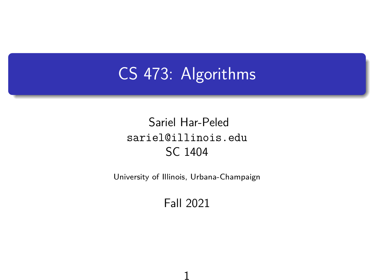# CS 473: Algorithms

#### Sariel Har-Peled sariel@illinois.edu SC 1404

University of Illinois, Urbana-Champaign

#### Fall 2021

1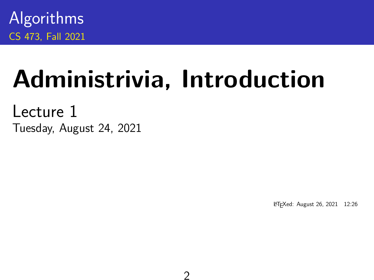Algorithms CS 473, Fall 2021

# **Administrivia, Introduction**

2

Lecture 1 Tuesday, August 24, 2021

<sup>L</sup>ATEXed: August 26, 2021 12:26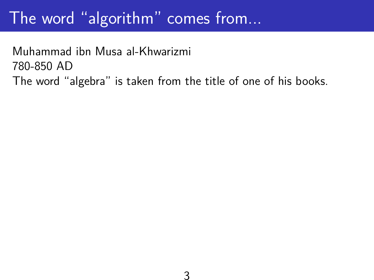## The word "algorithm" comes from...

Muhammad ibn Musa al-Khwarizmi 780-850 AD The word "algebra" is taken from the title of one of his books.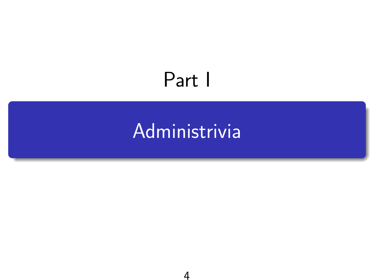# <span id="page-3-0"></span>Part I

# [Administrivia](#page-3-0)

4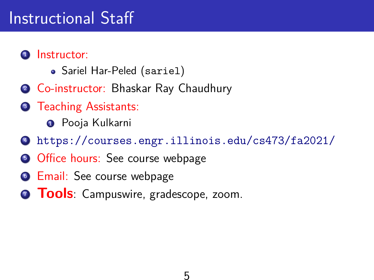## Instructional Staff

#### **1** Instructor:

- Sariel Har-Peled (sariel)
- <sup>2</sup> Co-instructor: Bhaskar Ray Chaudhury
- **3** Teaching Assistants:

**O** Pooja Kulkarni

- <sup>4</sup> <https://courses.engr.illinois.edu/cs473/fa2021/>
- **5 Office hours: See course webpage**
- **6** Email: See course webpage
- **7 Tools**: Campuswire, gradescope, zoom.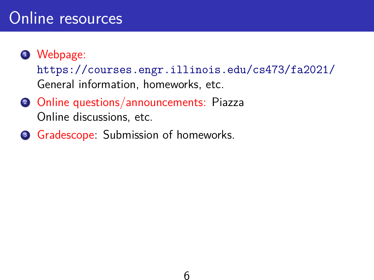### Online resources

#### **1** Webpage:

<https://courses.engr.illinois.edu/cs473/fa2021/> General information, homeworks, etc.

- <sup>2</sup> Online questions/announcements: Piazza Online discussions, etc.
- <sup>3</sup> Gradescope: Submission of homeworks.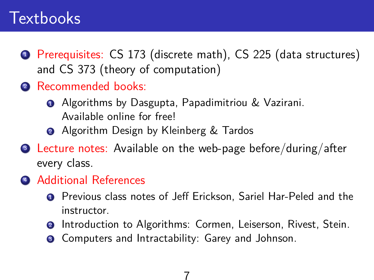### **Textbooks**

- <sup>1</sup> Prerequisites: CS 173 (discrete math), CS 225 (data structures) and CS 373 (theory of computation)
- <sup>2</sup> Recommended books:
	- **•** Algorithms by Dasgupta, Papadimitriou & Vazirani. Available online for free!
	- **2** Algorithm Design by Kleinberg & Tardos
- <sup>3</sup> Lecture notes: Available on the web-page before/during/after every class.
- **4 Additional References** 
	- <sup>1</sup> Previous class notes of Jeff Erickson, Sariel Har-Peled and the instructor.
	- **2** Introduction to Algorithms: Cormen, Leiserson, Rivest, Stein.
	- <sup>3</sup> Computers and Intractability: Garey and Johnson.

7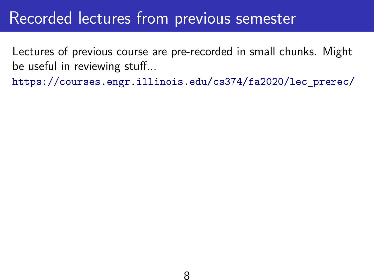### Recorded lectures from previous semester

Lectures of previous course are pre-recorded in small chunks. Might be useful in reviewing stuff...

[https://courses.engr.illinois.edu/cs374/fa2020/lec\\_prerec/](https://courses.engr.illinois.edu/cs374/fa2020/lec_prerec/)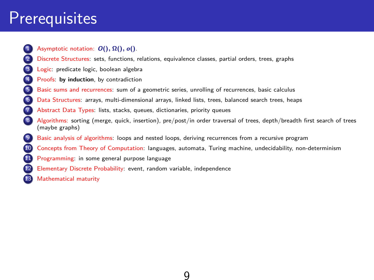## **Prerequisites**

- - 1 Asymptotic notation: **O**(), Ω(), **o**().
	- 2 Discrete Structures: sets, functions, relations, equivalence classes, partial orders, trees, graphs
	- Logic: predicate logic, boolean algebra
	- Proofs: by induction, by contradiction
- 5 Basic sums and recurrences: sum of a geometric series, unrolling of recurrences, basic calculus
- 6 Data Structures: arrays, multi-dimensional arrays, linked lists, trees, balanced search trees, heaps
- Abstract Data Types: lists, stacks, queues, dictionaries, priority queues
- 8 Algorithms: sorting (merge, quick, insertion), pre/post/in order traversal of trees, depth/breadth first search of trees (maybe graphs)
- Basic analysis of algorithms: loops and nested loops, deriving recurrences from a recursive program
- 10 Concepts from Theory of Computation: languages, automata, Turing machine, undecidability, non-determinism

9

- **11** Programming: in some general purpose language
- 12 Elementary Discrete Probability: event, random variable, independence
	- Mathematical maturity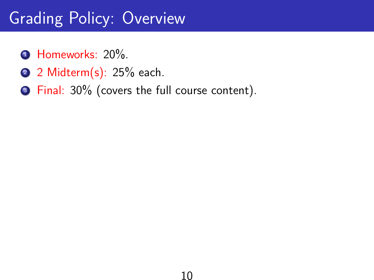# Grading Policy: Overview

- **1** Homeworks: 20%.
- 2 2 Midterm(s): 25% each.
- <sup>3</sup> Final: 30% (covers the full course content).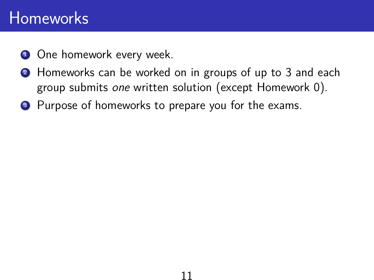### Homeworks

- **1** One homework every week.
- **2** Homeworks can be worked on in groups of up to 3 and each group submits one written solution (except Homework 0).

11

<sup>3</sup> Purpose of homeworks to prepare you for the exams.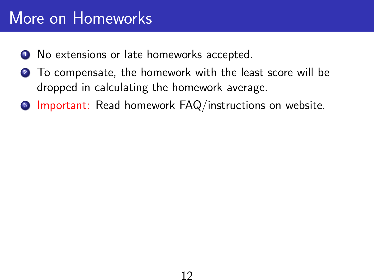## More on Homeworks

- <sup>1</sup> No extensions or late homeworks accepted.
- <sup>2</sup> To compensate, the homework with the least score will be dropped in calculating the homework average.
- <sup>3</sup> Important: Read homework FAQ/instructions on website.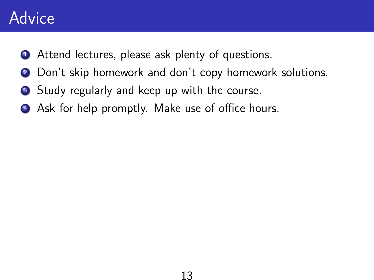### Advice

- Attend lectures, please ask plenty of questions.
- Don't skip homework and don't copy homework solutions.
- **3** Study regularly and keep up with the course.
- Ask for help promptly. Make use of office hours.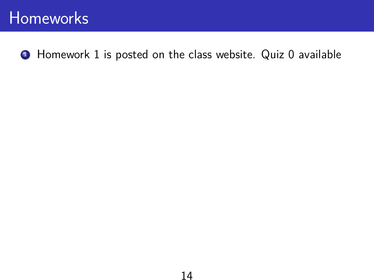#### **Homeworks**

**1** Homework 1 is posted on the class website. Quiz 0 available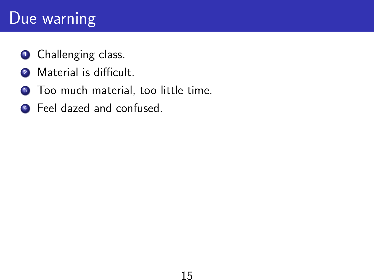### Due warning

- **1** Challenging class.
- <sup>2</sup> Material is difficult.
- <sup>3</sup> Too much material, too little time.
- **4** Feel dazed and confused.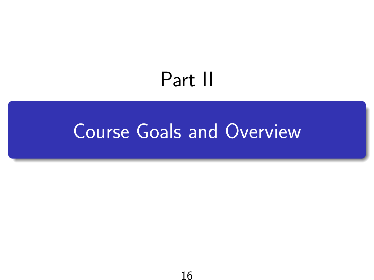# Part II

# <span id="page-15-0"></span>[Course Goals and Overview](#page-15-0)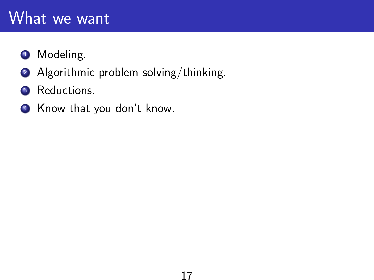### What we want

#### **1** Modeling.

- 2 Algorithmic problem solving/thinking.
- <sup>3</sup> Reductions.
- <sup>4</sup> Know that you don't know.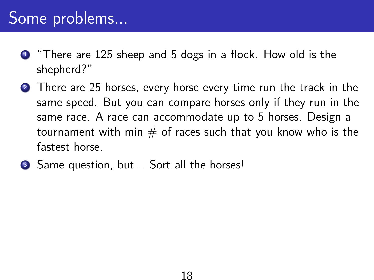## Some problems...

- **1** "There are 125 sheep and 5 dogs in a flock. How old is the shepherd?"
- <sup>2</sup> There are 25 horses, every horse every time run the track in the same speed. But you can compare horses only if they run in the same race. A race can accommodate up to 5 horses. Design a tournament with min  $#$  of races such that you know who is the fastest horse.
- Same question, but... Sort all the horses!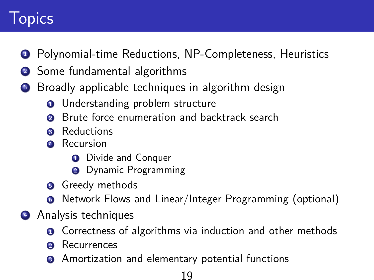# **Topics**

- Polynomial-time Reductions, NP-Completeness, Heuristics
- Some fundamental algorithms
- Broadly applicable techniques in algorithm design
	- **1** Understanding problem structure
	- Brute force enumeration and backtrack search
	- Reductions
	- Recursion
		- Divide and Conquer
		- Dynamic Programming
	- Greedy methods
	- Network Flows and Linear/Integer Programming (optional)
- Analysis techniques
	- **•** Correctness of algorithms via induction and other methods
	- Recurrences
	- <sup>3</sup> Amortization and elementary potential functions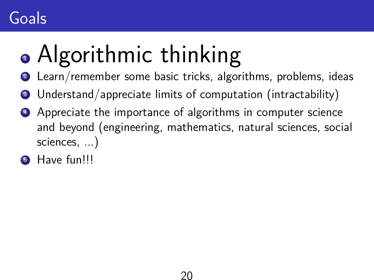# **Goals**

# • Algorithmic thinking

- Learn/remember some basic tricks, algorithms, problems, ideas
- Understand/appreciate limits of computation (intractability)
- **4** Appreciate the importance of algorithms in computer science and beyond (engineering, mathematics, natural sciences, social sciences, ...)
- Have fun!!!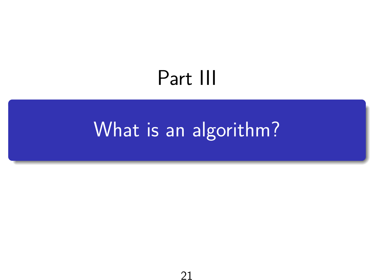# Part III

# <span id="page-20-0"></span>[What is an algorithm?](#page-20-0)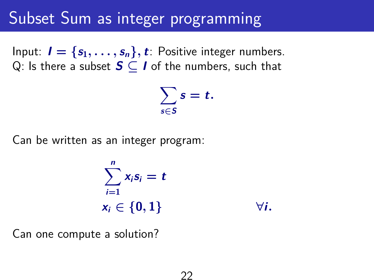### Subset Sum as integer programming

Input:  $I = \{s_1, \ldots, s_n\}, t$ : Positive integer numbers. Q: Is there a subset **S** ⊆ **I** of the numbers, such that

$$
\sum_{s\in S}s=t.
$$

Can be written as an integer program:

$$
\sum_{i=1}^{n} x_i s_i = t
$$
  

$$
x_i \in \{0, 1\}
$$
  $\forall i.$ 

Can one compute a solution?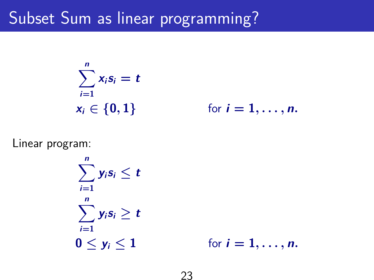# Subset Sum as linear programming?

$$
\sum_{i=1}^n x_i s_i = t
$$
  

$$
x_i \in \{0, 1\}
$$

 $\mathbf{r}$  for  $\mathbf{i} = 1, \ldots, \mathbf{n}$ .

Linear program:

 $\sum_{i=1}^{n} y_i s_i \leq t$ **i**=**1**  $\sum_{n=1}^{n}$ **i**=**1**  $y_i s_i \geq t$ **0**  $\leq y_i \leq 1$  for  $i = 1, ..., n$ .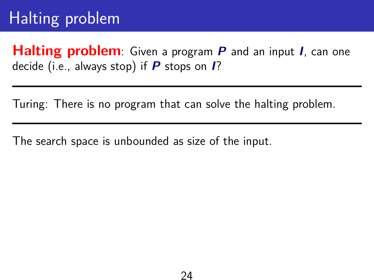**Halting problem**: Given a program **P** and an input **I**, can one decide (i.e., always stop) if **P** stops on **I**?

Turing: There is no program that can solve the halting problem.

The search space is unbounded as size of the input.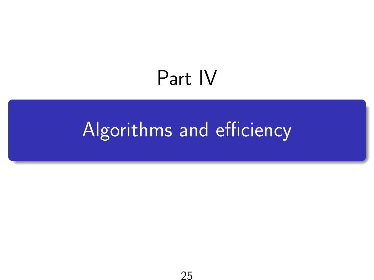# Part IV

# <span id="page-24-0"></span>[Algorithms and efficiency](#page-24-0)

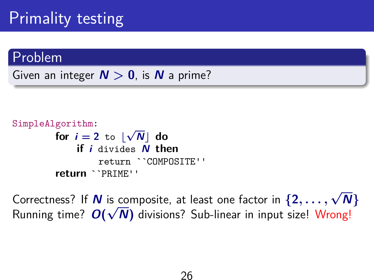# Primality testing

#### Problem

Given an integer  $N > 0$ , is N a prime?



Correctness? If **N** is composite, at least one factor in  $\{2, \ldots, \sqrt{N}\}$ Running time?  $O(\sqrt{N})$  divisions? Sub-linear in input size! Wrong!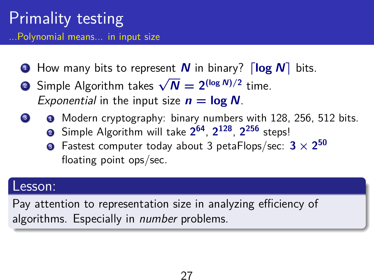#### Primality testing ...Polynomial means... in input size

- **1** How many bits to represent **N** in binary?  $\lceil \log N \rceil$  bits.
- **2** Simple Algorithm takes  $\sqrt{N} = 2^{(\log N)/2}$  time. Exponential in the input size  $n = \log N$ .
	- $\bullet$  Modern cryptography: binary numbers with 128, 256, 512 bits.
		- <sup>2</sup> Simple Algorithm will take **2 64** , **2 128** , **2 <sup>256</sup>** steps!
		- $\bullet$  Fastest computer today about 3 petaFlops/sec:  $3 \times 2^{50}$ floating point ops/sec.

#### Lesson:

Pay attention to representation size in analyzing efficiency of algorithms. Especially in *number* problems.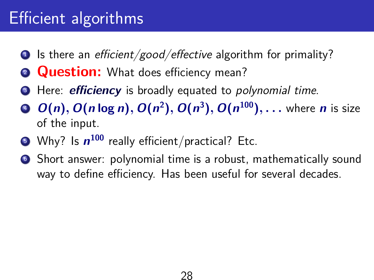# Efficient algorithms

- $\bullet$  Is there an *efficient/good/effective* algorithm for primality?
- **2 Question:** What does efficiency mean?
- **3** Here: *efficiency* is broadly equated to *polynomial time*.
- <sup>4</sup> **O**(**n**), **O**(**n** log **n**), **O**(**n 2** ), **O**(**n 3** ), **O**(**n <sup>100</sup>**), . . . where **n** is size of the input.
- $\bullet$  Why? Is  $n^{100}$  really efficient/practical? Etc.
- <sup>6</sup> Short answer: polynomial time is a robust, mathematically sound way to define efficiency. Has been useful for several decades.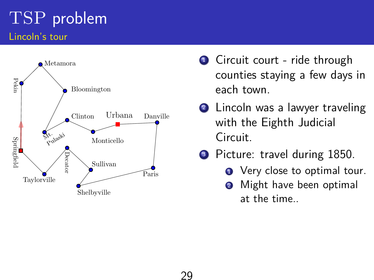### TSP problem Lincoln's tour



- **1** Circuit court ride through counties staying a few days in each town.
- 2 Lincoln was a lawyer traveling with the Eighth Judicial Circuit.
- <sup>3</sup> Picture: travel during 1850.
	- **1** Very close to optimal tour.
	- **2** Might have been optimal at the time..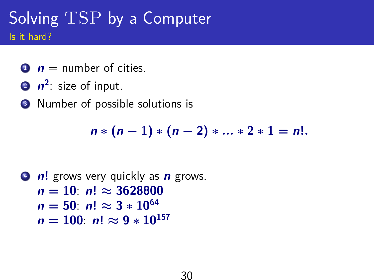### Solving TSP by a Computer Is it hard?

- $\mathbf{0}$   $\mathbf{n}$  = number of cities.
- **2**  $n^2$ : size of input.
- <sup>3</sup> Number of possible solutions is

$$
n * (n - 1) * (n - 2) * ... * 2 * 1 = n!.
$$

```
4 n! grows very quickly as n grows.
n = 10: n! \approx 3628800n = 50: n! ≈ 3 * 10^{64}n = 100: n! \approx 9 * 10^{157}
```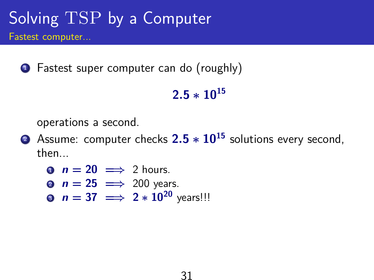# Solving TSP by a Computer

Fastest computer...

**1** Fastest super computer can do (roughly)

#### **2**.**5** ∗ **10<sup>15</sup>**

operations a second.

- <sup>2</sup> Assume: computer checks **2**.**5** ∗ **10<sup>15</sup>** solutions every second, then...
	- **0**  $n = 20 \implies 2$  hours.
	- **2**  $n = 25 \implies 200$  years.
	- **9**  $n = 37 \implies 2 * 10^{20}$  years!!!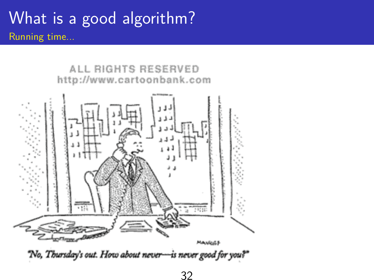### What is a good algorithm? Running time...

ALL RIGHTS RESERVED http://www.cartoonbank.com

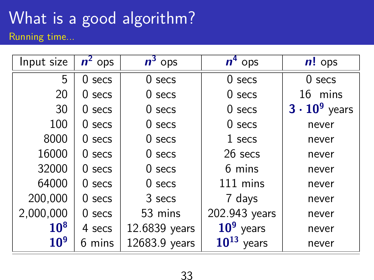# What is a good algorithm?

Running time...

| Input size      | $n^2$ ops | $n^3$ ops     | $n^4$ ops          | $n!$ ops             |
|-----------------|-----------|---------------|--------------------|----------------------|
| 5               | $0$ secs  | $0$ secs      | $0$ secs           | $0$ secs             |
| 20              | $0$ secs  | $0$ secs      | $0$ secs           | 16 mins              |
| 30              | $0$ secs  | $0$ secs      | $0$ secs           | $3 \cdot 10^9$ years |
| 100             | $0$ secs  | $0$ secs      | $0$ secs           | never                |
| 8000            | $0$ secs  | $0$ secs      | 1 secs             | never                |
| 16000           | $0$ secs  | $0$ secs      | 26 secs            | never                |
| 32000           | $0$ secs  | $0$ secs      | 6 mins             | never                |
| 64000           | $0$ secs  | $0$ secs      | 111 mins           | never                |
| 200,000         | $0$ secs  | 3 secs        | 7 days             | never                |
| 2,000,000       | $0$ secs  | 53 mins       | 202.943 years      | never                |
| 10 <sup>8</sup> | 4 secs    | 12.6839 years | $109$ years        | never                |
| 10 <sup>9</sup> | 6 mins    | 12683.9 years | $10^{13}$<br>years | never                |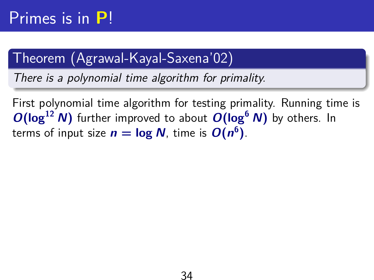#### Theorem (Agrawal-Kayal-Saxena'02)

There is a polynomial time algorithm for primality.

First polynomial time algorithm for testing primality. Running time is  $O(\log^{12} N)$  further improved to about  $O(\log^{6} N)$  by others. In terms of input size  $n = \log N$ , time is  $O(n^6)$ .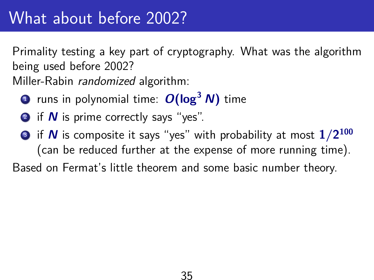## What about before 2002?

Primality testing a key part of cryptography. What was the algorithm being used before 2002? Miller-Rabin randomized algorithm:

- <sup>1</sup> runs in polynomial time: **O**(log**<sup>3</sup> N**) time
- 2 if *N* is prime correctly says "yes".
- $\bullet$  if  $\boldsymbol{N}$  is composite it says "yes" with probability at most  $1/2^{100}$ (can be reduced further at the expense of more running time).

Based on Fermat's little theorem and some basic number theory.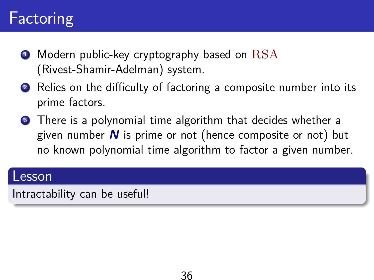# **Factoring**

- Modern public-key cryptography based on  $\text{RSA}$ (Rivest-Shamir-Adelman) system.
- 2 Relies on the difficulty of factoring a composite number into its prime factors.
- **3** There is a polynomial time algorithm that decides whether a given number **N** is prime or not (hence composite or not) but no known polynomial time algorithm to factor a given number.

#### Lesson

Intractability can be useful!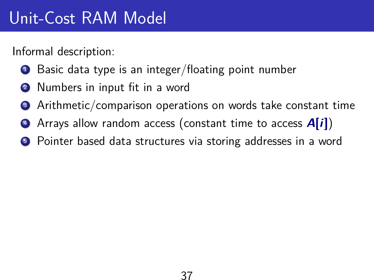Informal description:

- Basic data type is an integer/floating point number
- Numbers in input fit in a word
- **3** Arithmetic/comparison operations on words take constant time
- <sup>4</sup> Arrays allow random access (constant time to access **A**[**i**])
- **•** Pointer based data structures via storing addresses in a word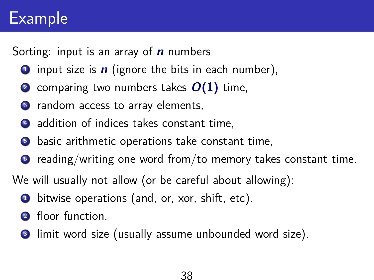# Example

Sorting: input is an array of **n** numbers

- **1** input size is  $\boldsymbol{n}$  (ignore the bits in each number),
- comparing two numbers takes  $O(1)$  time,
- <sup>3</sup> random access to array elements,
- 4 addition of indices takes constant time,
- **•** basic arithmetic operations take constant time,
- $\bullet$  reading/writing one word from/to memory takes constant time.

We will usually not allow (or be careful about allowing):

- $\bullet$  bitwise operations (and, or, xor, shift, etc).
- floor function.
- <sup>3</sup> limit word size (usually assume unbounded word size).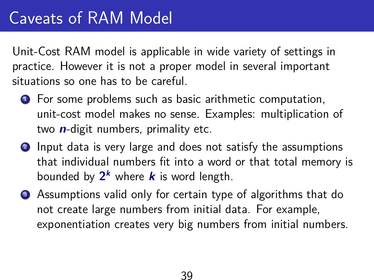Unit-Cost RAM model is applicable in wide variety of settings in practice. However it is not a proper model in several important situations so one has to be careful.

- **1** For some problems such as basic arithmetic computation, unit-cost model makes no sense. Examples: multiplication of two **n**-digit numbers, primality etc.
- 2 Input data is very large and does not satisfy the assumptions that individual numbers fit into a word or that total memory is bounded by  $2^k$  where  $k$  is word length.
- <sup>3</sup> Assumptions valid only for certain type of algorithms that do not create large numbers from initial data. For example, exponentiation creates very big numbers from initial numbers.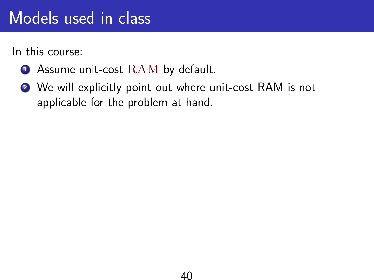# Models used in class

In this course:

- **1** Assume unit-cost RAM by default.
- <sup>2</sup> We will explicitly point out where unit-cost RAM is not applicable for the problem at hand.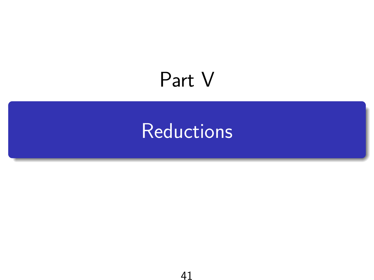# <span id="page-40-0"></span>Part V

# **[Reductions](#page-40-0)**

41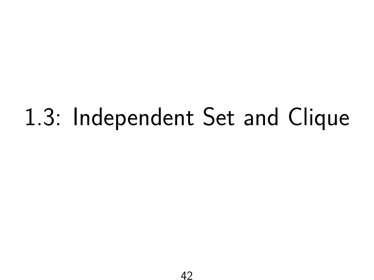# 1.3: Independent Set and Clique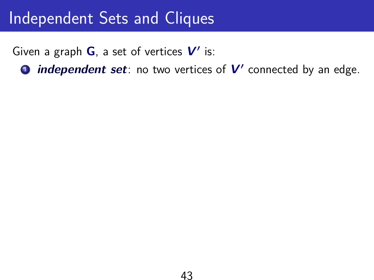Given a graph G, a set of vertices V' is:

**1** independent set: no two vertices of V' connected by an edge.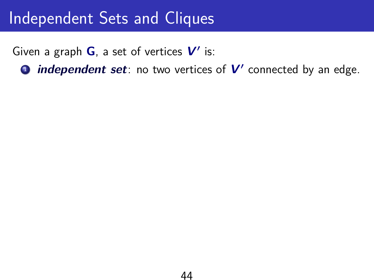Given a graph G, a set of vertices V' is:

**1** independent set: no two vertices of V' connected by an edge.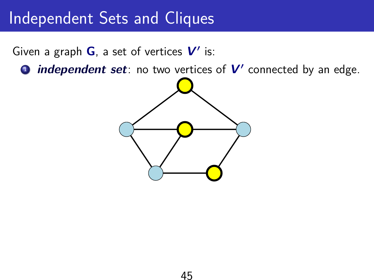Given a graph G, a set of vertices V' is:

**1** independent set: no two vertices of V' connected by an edge.

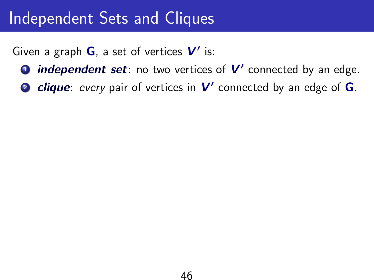Given a graph G, a set of vertices V' is:

- **1** independent set: no two vertices of V' connected by an edge.
- **2** *clique: every* pair of vertices in  $V'$  connected by an edge of **G**.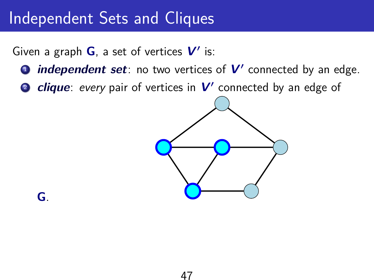Given a graph G, a set of vertices V' is:

- **1** independent set: no two vertices of V' connected by an edge.
- **2 clique**: every pair of vertices in V' connected by an edge of



**G**.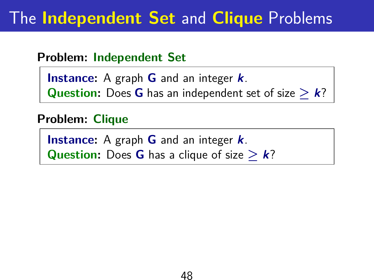## The **Independent Set** and **Clique** Problems

#### **Problem: Independent Set**

**Instance:** A graph **G** and an integer **k**. **Question:** Does **G** has an independent set of size  $\geq k$ ?

#### **Problem: Clique**

**Instance:** A graph **G** and an integer **k**. **Question:** Does **G** has a clique of size  $\geq k$ ?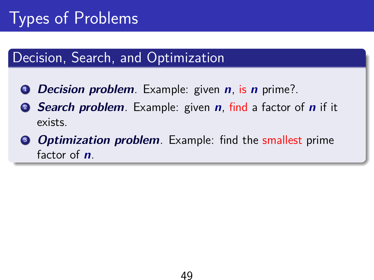#### Decision, Search, and Optimization

- <sup>1</sup> **Decision problem**. Example: given **n**, is **n** prime?.
- <sup>2</sup> **Search problem**. Example: given **n**, find a factor of **n** if it exists.
- **3 Optimization problem**. Example: find the smallest prime factor of **n**.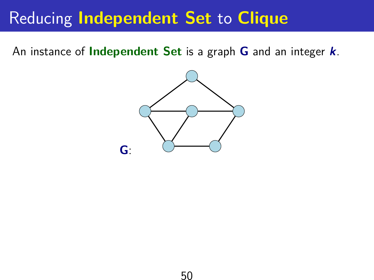# Reducing **Independent Set** to **Clique**

An instance of **Independent Set** is a graph **G** and an integer **k**.

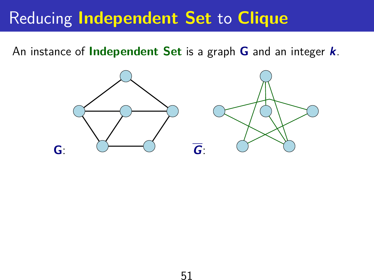# Reducing **Independent Set** to **Clique**

An instance of **Independent Set** is a graph **G** and an integer **k**.

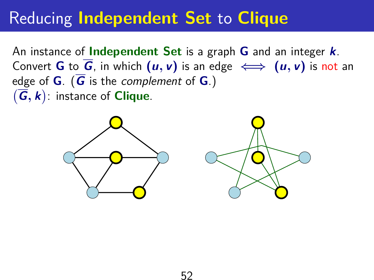# Reducing **Independent Set** to **Clique**

An instance of **Independent Set** is a graph **G** and an integer **k**. Convert **G** to  $\overline{G}$ , in which  $(u, v)$  is an edge  $\iff$   $(u, v)$  is not an edge of **G**. ( $\overline{G}$  is the complement of **G**.)  $(\overline{G}, k)$ : instance of **Clique**.

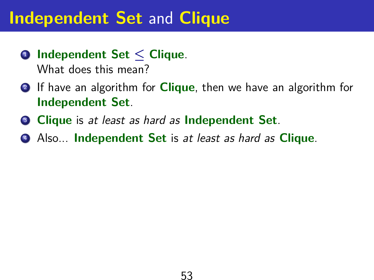- **Independent Set** ≤ **Clique**. What does this mean?
- If have an algorithm for **Clique**, then we have an algorithm for **Independent Set**.
- **Clique** is at least as hard as **Independent Set**.
- Also... **Independent Set** is at least as hard as **Clique**.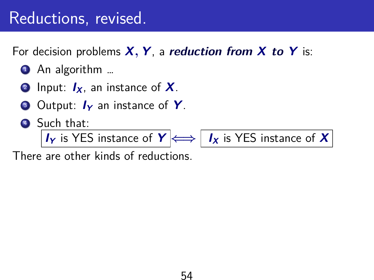### Reductions, revised.

For decision problems **X**, **Y**, a **reduction from X to Y** is:

- An algorithm ...
- <sup>2</sup> Input: **IX**, an instance of **X**.
- <sup>3</sup> Output: **I<sup>Y</sup>** an instance of **Y**.
- <sup>4</sup> Such that:

**IY** is YES instance of  $Y \leftrightarrow I_X$  is YES instance of **X** 

There are other kinds of reductions.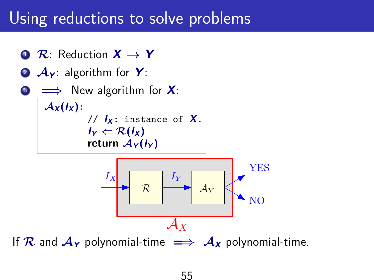### Using reductions to solve problems

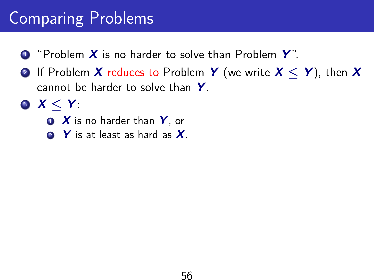# Comparing Problems

- "Problem **X** is no harder to solve than Problem **Y**".
- If Problem **X** reduces to Problem **Y** (we write **X** ≤ **Y**), then **X** cannot be harder to solve than **Y**.
- **X** ≤ **Y**:
	- **X** is no harder than **Y**, or
	- **Y** is at least as hard as **X**.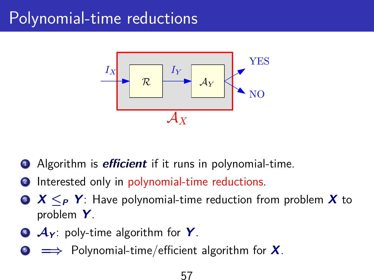# Polynomial-time reductions



- <sup>1</sup> Algorithm is **efficient** if it runs in polynomial-time.
- Interested only in polynomial-time reductions.
- <sup>3</sup> **X** ≤**<sup>P</sup> Y**: Have polynomial-time reduction from problem **X** to problem **Y**.
- <sup>4</sup> A**<sup>Y</sup>** : poly-time algorithm for **Y**.
- <sup>5</sup> =⇒ Polynomial-time/efficient algorithm for **X**.